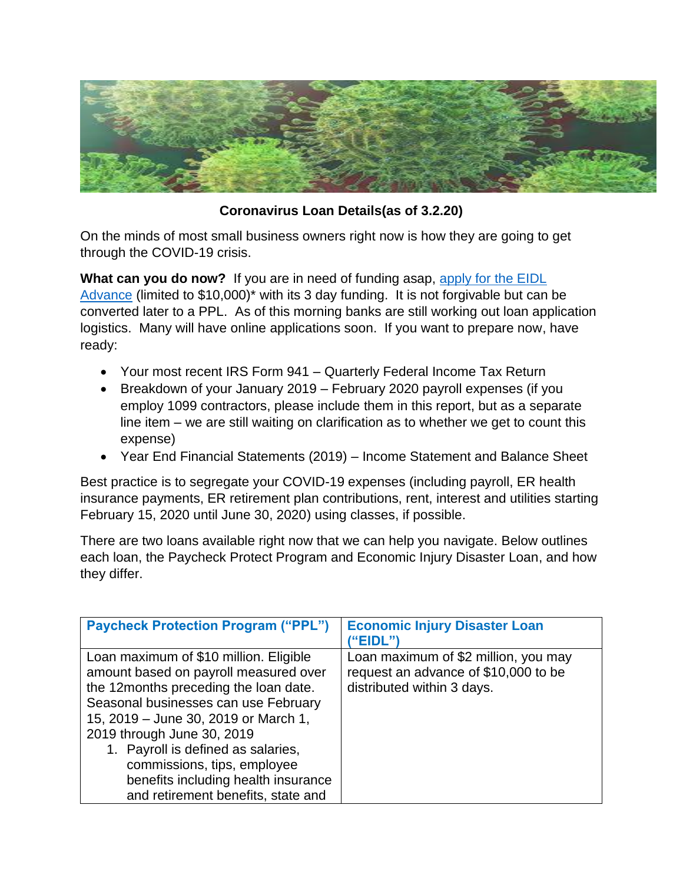

## **Coronavirus Loan Details(as of 3.2.20)**

On the minds of most small business owners right now is how they are going to get through the COVID-19 crisis.

**What can you do now?** If you are in need of funding asap, [apply for the EIDL](http://www.sba.gov/Disaster)  [Advance](http://www.sba.gov/Disaster) (limited to \$10,000)\* with its 3 day funding. It is not forgivable but can be converted later to a PPL. As of this morning banks are still working out loan application logistics. Many will have online applications soon. If you want to prepare now, have ready:

- Your most recent IRS Form 941 Quarterly Federal Income Tax Return
- Breakdown of your January 2019 February 2020 payroll expenses (if you employ 1099 contractors, please include them in this report, but as a separate line item – we are still waiting on clarification as to whether we get to count this expense)
- Year End Financial Statements (2019) Income Statement and Balance Sheet

Best practice is to segregate your COVID-19 expenses (including payroll, ER health insurance payments, ER retirement plan contributions, rent, interest and utilities starting February 15, 2020 until June 30, 2020) using classes, if possible.

There are two loans available right now that we can help you navigate. Below outlines each loan, the Paycheck Protect Program and Economic Injury Disaster Loan, and how they differ.

| <b>Paycheck Protection Program ("PPL")</b>                                                                                                                                                                                                                                                                                                                                               | <b>Economic Injury Disaster Loan</b><br>"EIDL")                                                            |
|------------------------------------------------------------------------------------------------------------------------------------------------------------------------------------------------------------------------------------------------------------------------------------------------------------------------------------------------------------------------------------------|------------------------------------------------------------------------------------------------------------|
| Loan maximum of \$10 million. Eligible<br>amount based on payroll measured over<br>the 12months preceding the loan date.<br>Seasonal businesses can use February<br>15, 2019 – June 30, 2019 or March 1,<br>2019 through June 30, 2019<br>1. Payroll is defined as salaries,<br>commissions, tips, employee<br>benefits including health insurance<br>and retirement benefits, state and | Loan maximum of \$2 million, you may<br>request an advance of \$10,000 to be<br>distributed within 3 days. |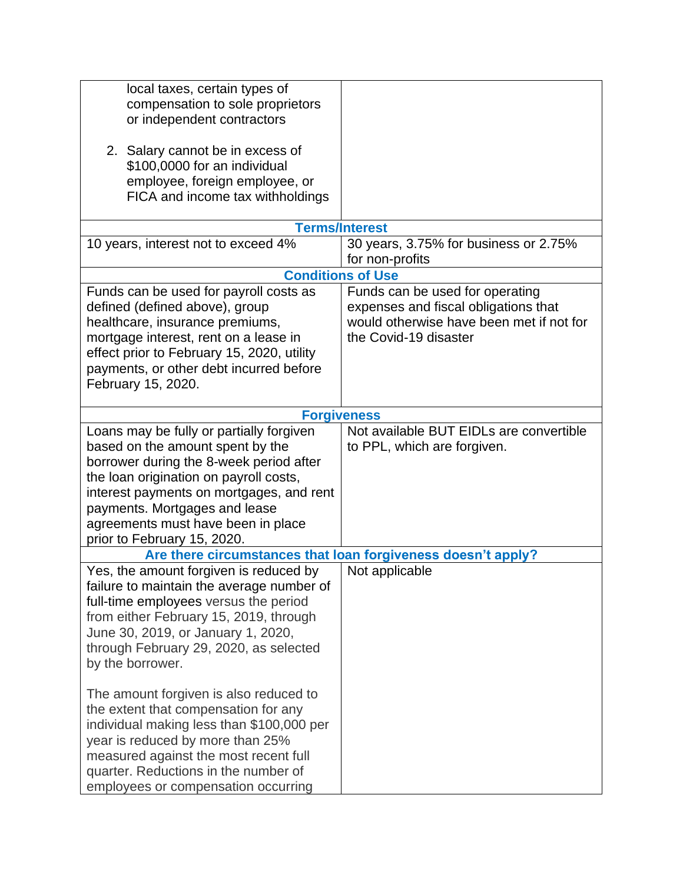| local taxes, certain types of<br>compensation to sole proprietors<br>or independent contractors<br>2. Salary cannot be in excess of<br>\$100,0000 for an individual<br>employee, foreign employee, or                                                                                                               |                                                                                                                                              |  |
|---------------------------------------------------------------------------------------------------------------------------------------------------------------------------------------------------------------------------------------------------------------------------------------------------------------------|----------------------------------------------------------------------------------------------------------------------------------------------|--|
| FICA and income tax withholdings                                                                                                                                                                                                                                                                                    |                                                                                                                                              |  |
| <b>Terms/Interest</b>                                                                                                                                                                                                                                                                                               |                                                                                                                                              |  |
| 10 years, interest not to exceed 4%                                                                                                                                                                                                                                                                                 | 30 years, 3.75% for business or 2.75%<br>for non-profits                                                                                     |  |
|                                                                                                                                                                                                                                                                                                                     | <b>Conditions of Use</b>                                                                                                                     |  |
| Funds can be used for payroll costs as<br>defined (defined above), group<br>healthcare, insurance premiums,<br>mortgage interest, rent on a lease in<br>effect prior to February 15, 2020, utility<br>payments, or other debt incurred before<br>February 15, 2020.                                                 | Funds can be used for operating<br>expenses and fiscal obligations that<br>would otherwise have been met if not for<br>the Covid-19 disaster |  |
| <b>Forgiveness</b>                                                                                                                                                                                                                                                                                                  |                                                                                                                                              |  |
| Loans may be fully or partially forgiven<br>based on the amount spent by the<br>borrower during the 8-week period after<br>the loan origination on payroll costs,<br>interest payments on mortgages, and rent<br>payments. Mortgages and lease<br>agreements must have been in place<br>prior to February 15, 2020. | Not available BUT EIDLs are convertible<br>to PPL, which are forgiven.                                                                       |  |
|                                                                                                                                                                                                                                                                                                                     | Are there circumstances that loan forgiveness doesn't apply?                                                                                 |  |
| Yes, the amount forgiven is reduced by<br>failure to maintain the average number of<br>full-time employees versus the period<br>from either February 15, 2019, through<br>June 30, 2019, or January 1, 2020,<br>through February 29, 2020, as selected<br>by the borrower.                                          | Not applicable                                                                                                                               |  |
| The amount forgiven is also reduced to<br>the extent that compensation for any<br>individual making less than \$100,000 per<br>year is reduced by more than 25%<br>measured against the most recent full<br>quarter. Reductions in the number of<br>employees or compensation occurring                             |                                                                                                                                              |  |